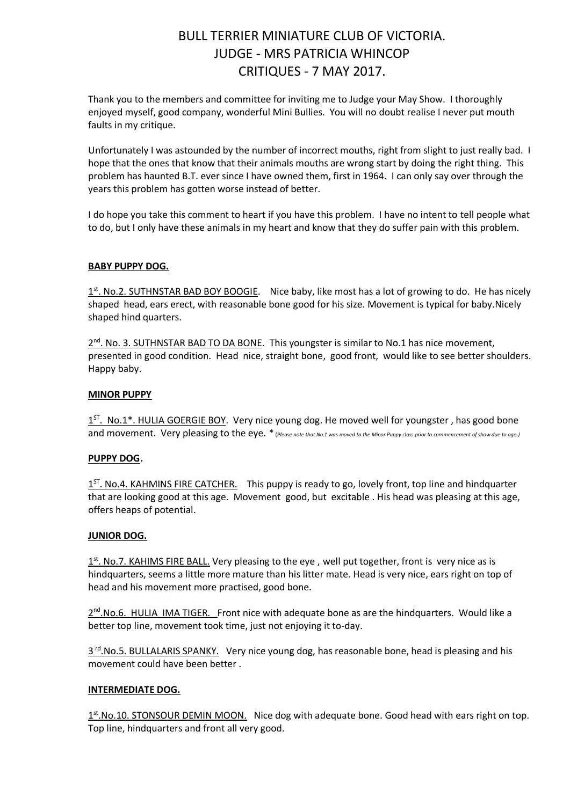# BULL TERRIER MINIATURE CLUB OF VICTORIA. JUDGE - MRS PATRICIA WHINCOP CRITIQUES - 7 MAY 2017.

Thank you to the members and committee for inviting me to Judge your May Show. I thoroughly enjoyed myself, good company, wonderful Mini Bullies. You will no doubt realise I never put mouth faults in my critique.

Unfortunately I was astounded by the number of incorrect mouths, right from slight to just really bad. I hope that the ones that know that their animals mouths are wrong start by doing the right thing. This problem has haunted B.T. ever since I have owned them, first in 1964. I can only say over through the years this problem has gotten worse instead of better.

I do hope you take this comment to heart if you have this problem. I have no intent to tell people what to do, but I only have these animals in my heart and know that they do suffer pain with this problem.

### **BABY PUPPY DOG.**

1<sup>st</sup>. No.2. SUTHNSTAR BAD BOY BOOGIE. Nice baby, like most has a lot of growing to do. He has nicely shaped head, ears erect, with reasonable bone good for his size. Movement is typical for baby.Nicely shaped hind quarters.

2<sup>nd</sup>. No. 3. SUTHNSTAR BAD TO DA BONE. This youngster is similar to No.1 has nice movement, presented in good condition. Head nice, straight bone, good front, would like to see better shoulders. Happy baby.

### **MINOR PUPPY**

1<sup>ST</sup>. No.1\*. HULIA GOERGIE BOY. Very nice young dog. He moved well for youngster, has good bone and movement. Very pleasing to the eye. \* (*Please note that No.1 was moved to the Minor Puppy class prior to commencement of show due to age.*)

### **PUPPY DOG.**

1<sup>ST</sup>. No.4. KAHMINS FIRE CATCHER. This puppy is ready to go, lovely front, top line and hindquarter that are looking good at this age. Movement good, but excitable . His head was pleasing at this age, offers heaps of potential.

#### **JUNIOR DOG.**

1<sup>st</sup>. No.7. KAHIMS FIRE BALL. Very pleasing to the eye, well put together, front is very nice as is hindquarters, seems a little more mature than his litter mate. Head is very nice, ears right on top of head and his movement more practised, good bone.

2<sup>nd</sup>. No.6. HULIA IMA TIGER. Front nice with adequate bone as are the hindquarters. Would like a better top line, movement took time, just not enjoying it to-day.

3<sup>rd</sup>. No.5. BULLALARIS SPANKY. Very nice young dog, has reasonable bone, head is pleasing and his movement could have been better .

### **INTERMEDIATE DOG.**

1<sup>st</sup>.No.10. STONSOUR DEMIN MOON. Nice dog with adequate bone. Good head with ears right on top. Top line, hindquarters and front all very good.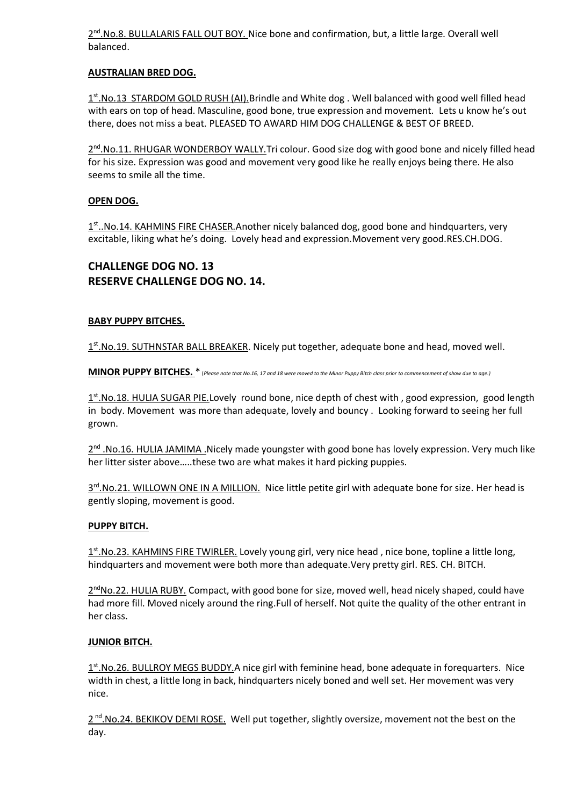2<sup>nd</sup>. No.8. BULLALARIS FALL OUT BOY. Nice bone and confirmation, but, a little large. Overall well balanced.

# **AUSTRALIAN BRED DOG.**

1st. No. 13 STARDOM GOLD RUSH (AI). Brindle and White dog. Well balanced with good well filled head with ears on top of head. Masculine, good bone, true expression and movement. Lets u know he's out there, does not miss a beat. PLEASED TO AWARD HIM DOG CHALLENGE & BEST OF BREED.

2<sup>nd</sup>. No.11. RHUGAR WONDERBOY WALLY. Tri colour. Good size dog with good bone and nicely filled head for his size. Expression was good and movement very good like he really enjoys being there. He also seems to smile all the time.

## **OPEN DOG.**

1<sup>st</sup>..No.14. KAHMINS FIRE CHASER. Another nicely balanced dog, good bone and hindquarters, very excitable, liking what he's doing. Lovely head and expression.Movement very good.RES.CH.DOG.

# **CHALLENGE DOG NO. 13 RESERVE CHALLENGE DOG NO. 14.**

### **BABY PUPPY BITCHES.**

1st. No. 19. SUTHNSTAR BALL BREAKER. Nicely put together, adequate bone and head, moved well.

**MINOR PUPPY BITCHES.** \* (*Please note that No.16, 17 and 18 were moved to the Minor Puppy Bitch class prior to commencement of show due to age.)*

1<sup>st</sup>.No.18. HULIA SUGAR PIE.Lovely round bone, nice depth of chest with, good expression, good length in body. Movement was more than adequate, lovely and bouncy . Looking forward to seeing her full grown.

2<sup>nd</sup> .No.16. HULIA JAMIMA .Nicely made youngster with good bone has lovely expression. Very much like her litter sister above…..these two are what makes it hard picking puppies.

3<sup>rd</sup>.No.21. WILLOWN ONE IN A MILLION. Nice little petite girl with adequate bone for size. Her head is gently sloping, movement is good.

### **PUPPY BITCH.**

1<sup>st</sup>. No.23. KAHMINS FIRE TWIRLER. Lovely young girl, very nice head, nice bone, topline a little long, hindquarters and movement were both more than adequate.Very pretty girl. RES. CH. BITCH.

2<sup>nd</sup>No.22. HULIA RUBY. Compact, with good bone for size, moved well, head nicely shaped, could have had more fill. Moved nicely around the ring.Full of herself. Not quite the quality of the other entrant in her class.

### **JUNIOR BITCH.**

1<sup>st</sup>. No. 26. BULLROY MEGS BUDDY. A nice girl with feminine head, bone adequate in forequarters. Nice width in chest, a little long in back, hindquarters nicely boned and well set. Her movement was very nice.

2<sup>nd</sup>.No.24. BEKIKOV DEMI ROSE. Well put together, slightly oversize, movement not the best on the day.